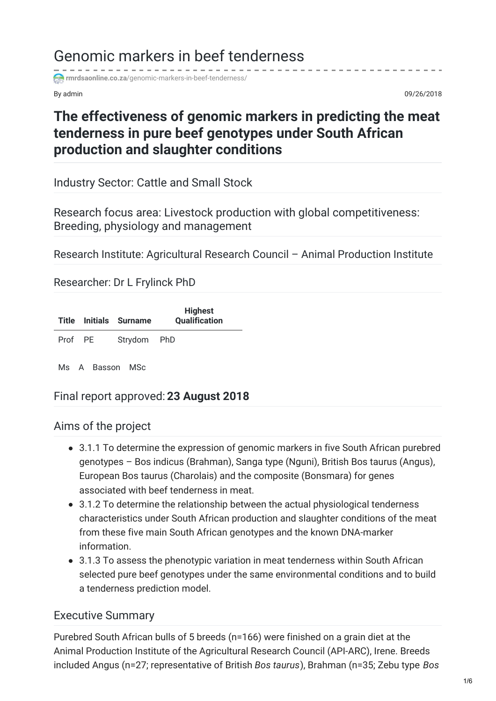# Genomic markers in beef tenderness

**rmrdsaonline.co.za**[/genomic-markers-in-beef-tenderness/](https://rmrdsaonline.co.za/genomic-markers-in-beef-tenderness/)

By admin 09/26/2018

# **The effectiveness of genomic markers in predicting the meat tenderness in pure beef genotypes under South African production and slaughter conditions**

Industry Sector: Cattle and Small Stock

Research focus area: Livestock production with global competitiveness: Breeding, physiology and management

Research Institute: Agricultural Research Council – Animal Production Institute

Researcher: Dr L Frylinck PhD

|         | <b>Title Initials Surname</b> | <b>Highest</b><br><b>Qualification</b> |
|---------|-------------------------------|----------------------------------------|
| Prof PE | Strydom PhD                   |                                        |

Ms A Basson MSc

# Final report approved: **23 August 2018**

## Aims of the project

- 3.1.1 To determine the expression of genomic markers in five South African purebred genotypes – Bos indicus (Brahman), Sanga type (Nguni), British Bos taurus (Angus), European Bos taurus (Charolais) and the composite (Bonsmara) for genes associated with beef tenderness in meat.
- 3.1.2 To determine the relationship between the actual physiological tenderness characteristics under South African production and slaughter conditions of the meat from these five main South African genotypes and the known DNA-marker information.
- 3.1.3 To assess the phenotypic variation in meat tenderness within South African selected pure beef genotypes under the same environmental conditions and to build a tenderness prediction model.

## Executive Summary

Purebred South African bulls of 5 breeds (n=166) were finished on a grain diet at the Animal Production Institute of the Agricultural Research Council (API-ARC), Irene. Breeds included Angus (n=27; representative of British *Bos taurus*), Brahman (n=35; Zebu type *Bos*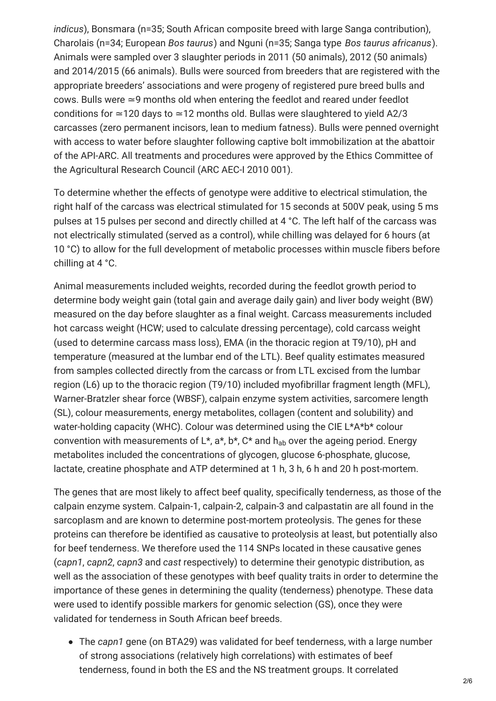*indicus*), Bonsmara (n=35; South African composite breed with large Sanga contribution), Charolais (n=34; European *Bos taurus*) and Nguni (n=35; Sanga type *Bos taurus africanus*). Animals were sampled over 3 slaughter periods in 2011 (50 animals), 2012 (50 animals) and 2014/2015 (66 animals). Bulls were sourced from breeders that are registered with the appropriate breeders' associations and were progeny of registered pure breed bulls and cows. Bulls were ≃9 months old when entering the feedlot and reared under feedlot conditions for ≃120 days to ≃12 months old. Bullas were slaughtered to yield A2/3 carcasses (zero permanent incisors, lean to medium fatness). Bulls were penned overnight with access to water before slaughter following captive bolt immobilization at the abattoir of the API-ARC. All treatments and procedures were approved by the Ethics Committee of the Agricultural Research Council (ARC AEC-I 2010 001).

To determine whether the effects of genotype were additive to electrical stimulation, the right half of the carcass was electrical stimulated for 15 seconds at 500V peak, using 5 ms pulses at 15 pulses per second and directly chilled at 4 °C. The left half of the carcass was not electrically stimulated (served as a control), while chilling was delayed for 6 hours (at 10 °C) to allow for the full development of metabolic processes within muscle fibers before chilling at 4 °C.

Animal measurements included weights, recorded during the feedlot growth period to determine body weight gain (total gain and average daily gain) and liver body weight (BW) measured on the day before slaughter as a final weight. Carcass measurements included hot carcass weight (HCW; used to calculate dressing percentage), cold carcass weight (used to determine carcass mass loss), EMA (in the thoracic region at T9/10), pH and temperature (measured at the lumbar end of the LTL). Beef quality estimates measured from samples collected directly from the carcass or from LTL excised from the lumbar region (L6) up to the thoracic region (T9/10) included myofibrillar fragment length (MFL), Warner-Bratzler shear force (WBSF), calpain enzyme system activities, sarcomere length (SL), colour measurements, energy metabolites, collagen (content and solubility) and water-holding capacity (WHC). Colour was determined using the CIE L\*A\*b\* colour convention with measurements of L\*, a\*, b\*, C\* and  $h_{ab}$  over the ageing period. Energy metabolites included the concentrations of glycogen, glucose 6-phosphate, glucose, lactate, creatine phosphate and ATP determined at 1 h, 3 h, 6 h and 20 h post-mortem.

The genes that are most likely to affect beef quality, specifically tenderness, as those of the calpain enzyme system. Calpain-1, calpain-2, calpain-3 and calpastatin are all found in the sarcoplasm and are known to determine post-mortem proteolysis. The genes for these proteins can therefore be identified as causative to proteolysis at least, but potentially also for beef tenderness. We therefore used the 114 SNPs located in these causative genes (*capn1*, *capn2*, *capn3* and *cast* respectively) to determine their genotypic distribution, as well as the association of these genotypes with beef quality traits in order to determine the importance of these genes in determining the quality (tenderness) phenotype. These data were used to identify possible markers for genomic selection (GS), once they were validated for tenderness in South African beef breeds.

The *capn1* gene (on BTA29) was validated for beef tenderness, with a large number of strong associations (relatively high correlations) with estimates of beef tenderness, found in both the ES and the NS treatment groups. It correlated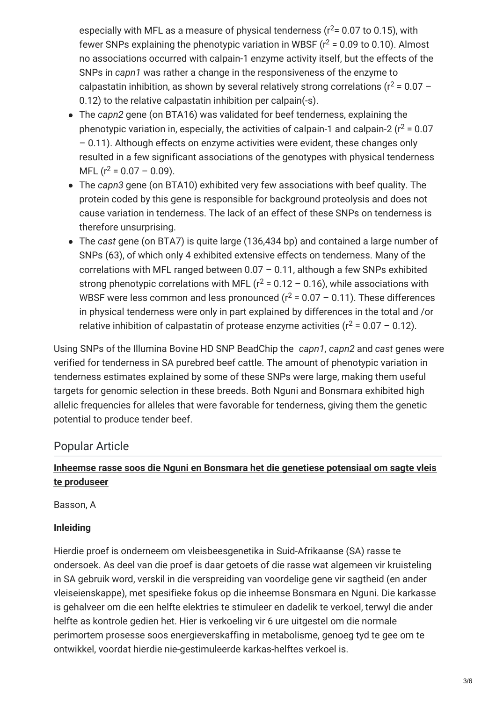especially with MFL as a measure of physical tenderness ( $r^2$ = 0.07 to 0.15), with fewer SNPs explaining the phenotypic variation in WBSF ( $r^2$  = 0.09 to 0.10). Almost no associations occurred with calpain-1 enzyme activity itself, but the effects of the SNPs in *capn1* was rather a change in the responsiveness of the enzyme to calpastatin inhibition, as shown by several relatively strong correlations ( $r^2$  = 0.07 – 0.12) to the relative calpastatin inhibition per calpain(-s).

- The *capn2* gene (on BTA16) was validated for beef tenderness, explaining the phenotypic variation in, especially, the activities of calpain-1 and calpain-2 ( $r^2$  = 0.07 – 0.11). Although effects on enzyme activities were evident, these changes only resulted in a few significant associations of the genotypes with physical tenderness MFL  $(r^2 = 0.07 - 0.09)$ .
- The *capn3* gene (on BTA10) exhibited very few associations with beef quality. The protein coded by this gene is responsible for background proteolysis and does not cause variation in tenderness. The lack of an effect of these SNPs on tenderness is therefore unsurprising.
- The *cast* gene (on BTA7) is quite large (136,434 bp) and contained a large number of SNPs (63), of which only 4 exhibited extensive effects on tenderness. Many of the correlations with MFL ranged between 0.07 – 0.11, although a few SNPs exhibited strong phenotypic correlations with MFL ( $r^2$  = 0.12 – 0.16), while associations with WBSF were less common and less pronounced ( $r^2$  = 0.07 – 0.11). These differences in physical tenderness were only in part explained by differences in the total and /or relative inhibition of calpastatin of protease enzyme activities ( $r^2$  = 0.07 – 0.12).

Using SNPs of the Illumina Bovine HD SNP BeadChip the *capn1*, *capn2* and *cast* genes were verified for tenderness in SA purebred beef cattle. The amount of phenotypic variation in tenderness estimates explained by some of these SNPs were large, making them useful targets for genomic selection in these breeds. Both Nguni and Bonsmara exhibited high allelic frequencies for alleles that were favorable for tenderness, giving them the genetic potential to produce tender beef.

# Popular Article

## **Inheemse rasse soos die Nguni en Bonsmara het die genetiese potensiaal om sagte vleis te produseer**

Basson, A

## **Inleiding**

Hierdie proef is onderneem om vleisbeesgenetika in Suid-Afrikaanse (SA) rasse te ondersoek. As deel van die proef is daar getoets of die rasse wat algemeen vir kruisteling in SA gebruik word, verskil in die verspreiding van voordelige gene vir sagtheid (en ander vleiseienskappe), met spesifieke fokus op die inheemse Bonsmara en Nguni. Die karkasse is gehalveer om die een helfte elektries te stimuleer en dadelik te verkoel, terwyl die ander helfte as kontrole gedien het. Hier is verkoeling vir 6 ure uitgestel om die normale perimortem prosesse soos energieverskaffing in metabolisme, genoeg tyd te gee om te ontwikkel, voordat hierdie nie-gestimuleerde karkas-helftes verkoel is.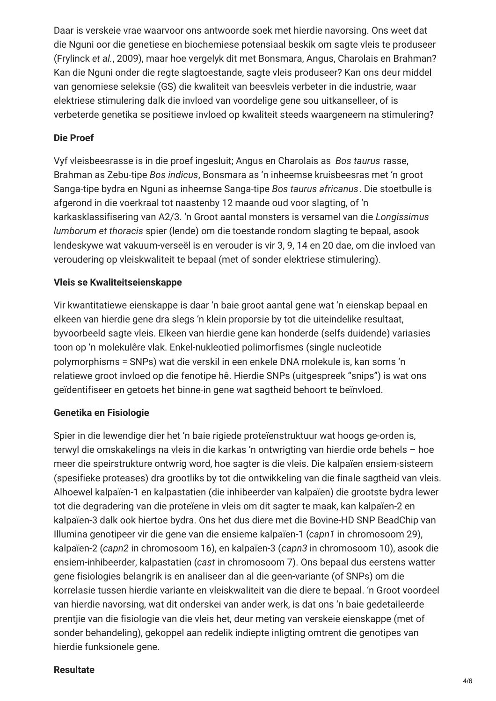Daar is verskeie vrae waarvoor ons antwoorde soek met hierdie navorsing. Ons weet dat die Nguni oor die genetiese en biochemiese potensiaal beskik om sagte vleis te produseer (Frylinck *et al.*, 2009), maar hoe vergelyk dit met Bonsmara, Angus, Charolais en Brahman? Kan die Nguni onder die regte slagtoestande, sagte vleis produseer? Kan ons deur middel van genomiese seleksie (GS) die kwaliteit van beesvleis verbeter in die industrie, waar elektriese stimulering dalk die invloed van voordelige gene sou uitkanselleer, of is verbeterde genetika se positiewe invloed op kwaliteit steeds waargeneem na stimulering?

#### **Die Proef**

Vyf vleisbeesrasse is in die proef ingesluit; Angus en Charolais as *Bos taurus* rasse, Brahman as Zebu-tipe *Bos indicus*, Bonsmara as 'n inheemse kruisbeesras met 'n groot Sanga-tipe bydra en Nguni as inheemse Sanga-tipe *Bos taurus africanus*. Die stoetbulle is afgerond in die voerkraal tot naastenby 12 maande oud voor slagting, of 'n karkasklassifisering van A2/3. 'n Groot aantal monsters is versamel van die *Longissimus lumborum et thoracis* spier (lende) om die toestande rondom slagting te bepaal, asook lendeskywe wat vakuum-verseël is en verouder is vir 3, 9, 14 en 20 dae, om die invloed van veroudering op vleiskwaliteit te bepaal (met of sonder elektriese stimulering).

#### **Vleis se Kwaliteitseienskappe**

Vir kwantitatiewe eienskappe is daar 'n baie groot aantal gene wat 'n eienskap bepaal en elkeen van hierdie gene dra slegs 'n klein proporsie by tot die uiteindelike resultaat, byvoorbeeld sagte vleis. Elkeen van hierdie gene kan honderde (selfs duidende) variasies toon op 'n molekulêre vlak. Enkel-nukleotied polimorfismes (single nucleotide polymorphisms = SNPs) wat die verskil in een enkele DNA molekule is, kan soms 'n relatiewe groot invloed op die fenotipe hê. Hierdie SNPs (uitgespreek "snips") is wat ons geïdentifiseer en getoets het binne-in gene wat sagtheid behoort te beïnvloed.

#### **Genetika en Fisiologie**

Spier in die lewendige dier het 'n baie rigiede proteïenstruktuur wat hoogs ge-orden is, terwyl die omskakelings na vleis in die karkas 'n ontwrigting van hierdie orde behels – hoe meer die speirstrukture ontwrig word, hoe sagter is die vleis. Die kalpaïen ensiem-sisteem (spesifieke proteases) dra grootliks by tot die ontwikkeling van die finale sagtheid van vleis. Alhoewel kalpaïen‑1 en kalpastatien (die inhibeerder van kalpaïen) die grootste bydra lewer tot die degradering van die proteïene in vleis om dit sagter te maak, kan kalpaïen‑2 en kalpaïen‑3 dalk ook hiertoe bydra. Ons het dus diere met die Bovine-HD SNP BeadChip van Illumina genotipeer vir die gene van die ensieme kalpaïen‑1 (*capn1* in chromosoom 29), kalpaïen‑2 (*capn2* in chromosoom 16), en kalpaïen‑3 (*capn3* in chromosoom 10), asook die ensiem-inhibeerder, kalpastatien (*cast* in chromosoom 7). Ons bepaal dus eerstens watter gene fisiologies belangrik is en analiseer dan al die geen-variante (of SNPs) om die korrelasie tussen hierdie variante en vleiskwaliteit van die diere te bepaal. 'n Groot voordeel van hierdie navorsing, wat dit onderskei van ander werk, is dat ons 'n baie gedetaileerde prentjie van die fisiologie van die vleis het, deur meting van verskeie eienskappe (met of sonder behandeling), gekoppel aan redelik indiepte inligting omtrent die genotipes van hierdie funksionele gene.

#### **Resultate**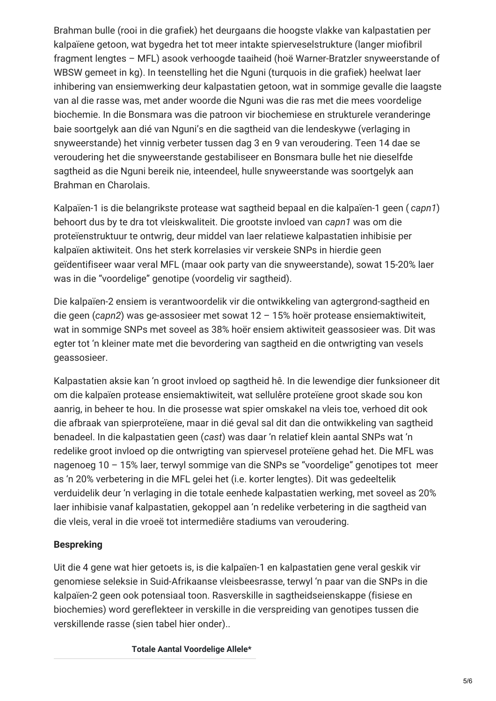Brahman bulle (rooi in die grafiek) het deurgaans die hoogste vlakke van kalpastatien per kalpaïene getoon, wat bygedra het tot meer intakte spierveselstrukture (langer miofibril fragment lengtes – MFL) asook verhoogde taaiheid (hoë Warner-Bratzler snyweerstande of WBSW gemeet in kg). In teenstelling het die Nguni (turquois in die grafiek) heelwat laer inhibering van ensiemwerking deur kalpastatien getoon, wat in sommige gevalle die laagste van al die rasse was, met ander woorde die Nguni was die ras met die mees voordelige biochemie. In die Bonsmara was die patroon vir biochemiese en strukturele veranderinge baie soortgelyk aan dié van Nguni's en die sagtheid van die lendeskywe (verlaging in snyweerstande) het vinnig verbeter tussen dag 3 en 9 van veroudering. Teen 14 dae se veroudering het die snyweerstande gestabiliseer en Bonsmara bulle het nie dieselfde sagtheid as die Nguni bereik nie, inteendeel, hulle snyweerstande was soortgelyk aan Brahman en Charolais.

Kalpaïen-1 is die belangrikste protease wat sagtheid bepaal en die kalpaïen‑1 geen ( *capn1*) behoort dus by te dra tot vleiskwaliteit. Die grootste invloed van *capn1* was om die proteïenstruktuur te ontwrig, deur middel van laer relatiewe kalpastatien inhibisie per kalpaïen aktiwiteit. Ons het sterk korrelasies vir verskeie SNPs in hierdie geen geïdentifiseer waar veral MFL (maar ook party van die snyweerstande), sowat 15-20% laer was in die "voordelige" genotipe (voordelig vir sagtheid).

Die kalpaïen-2 ensiem is verantwoordelik vir die ontwikkeling van agtergrond-sagtheid en die geen (*capn2*) was ge-assosieer met sowat 12 – 15% hoër protease ensiemaktiwiteit, wat in sommige SNPs met soveel as 38% hoër ensiem aktiwiteit geassosieer was. Dit was egter tot 'n kleiner mate met die bevordering van sagtheid en die ontwrigting van vesels geassosieer.

Kalpastatien aksie kan 'n groot invloed op sagtheid hê. In die lewendige dier funksioneer dit om die kalpaïen protease ensiemaktiwiteit, wat sellulêre proteïene groot skade sou kon aanrig, in beheer te hou. In die prosesse wat spier omskakel na vleis toe, verhoed dit ook die afbraak van spierproteïene, maar in dié geval sal dit dan die ontwikkeling van sagtheid benadeel. In die kalpastatien geen (*cast*) was daar 'n relatief klein aantal SNPs wat 'n redelike groot invloed op die ontwrigting van spiervesel proteïene gehad het. Die MFL was nagenoeg 10 – 15% laer, terwyl sommige van die SNPs se "voordelige" genotipes tot meer as 'n 20% verbetering in die MFL gelei het (i.e. korter lengtes). Dit was gedeeltelik verduidelik deur 'n verlaging in die totale eenhede kalpastatien werking, met soveel as 20% laer inhibisie vanaf kalpastatien, gekoppel aan 'n redelike verbetering in die sagtheid van die vleis, veral in die vroeë tot intermediêre stadiums van veroudering.

#### **Bespreking**

Uit die 4 gene wat hier getoets is, is die kalpaïen‑1 en kalpastatien gene veral geskik vir genomiese seleksie in Suid-Afrikaanse vleisbeesrasse, terwyl 'n paar van die SNPs in die kalpaïen-2 geen ook potensiaal toon. Rasverskille in sagtheidseienskappe (fisiese en biochemies) word gereflekteer in verskille in die verspreiding van genotipes tussen die verskillende rasse (sien tabel hier onder)..

**Totale Aantal Voordelige Allele\***